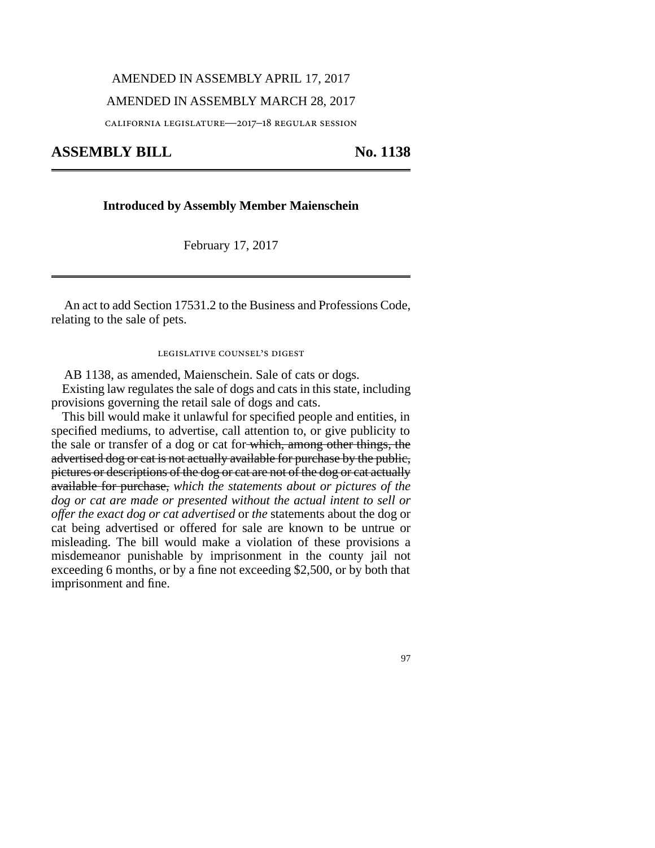## AMENDED IN ASSEMBLY APRIL 17, 2017

### AMENDED IN ASSEMBLY MARCH 28, 2017

california legislature—2017–18 regular session

ASSEMBLY BILL No. 1138

### **Introduced by Assembly Member Maienschein**

February 17, 2017

An act to add Section 17531.2 to the Business and Professions Code, relating to the sale of pets.

legislative counsel's digest

AB 1138, as amended, Maienschein. Sale of cats or dogs.

Existing law regulates the sale of dogs and cats in this state, including provisions governing the retail sale of dogs and cats.

This bill would make it unlawful for specified people and entities, in specified mediums, to advertise, call attention to, or give publicity to the sale or transfer of a dog or cat for which, among other things, the advertised dog or cat is not actually available for purchase by the public, pictures or descriptions of the dog or cat are not of the dog or cat actually available for purchase, *which the statements about or pictures of the dog or cat are made or presented without the actual intent to sell or offer the exact dog or cat advertised* or *the* statements about the dog or cat being advertised or offered for sale are known to be untrue or misleading. The bill would make a violation of these provisions a misdemeanor punishable by imprisonment in the county jail not exceeding 6 months, or by a fine not exceeding \$2,500, or by both that imprisonment and fine.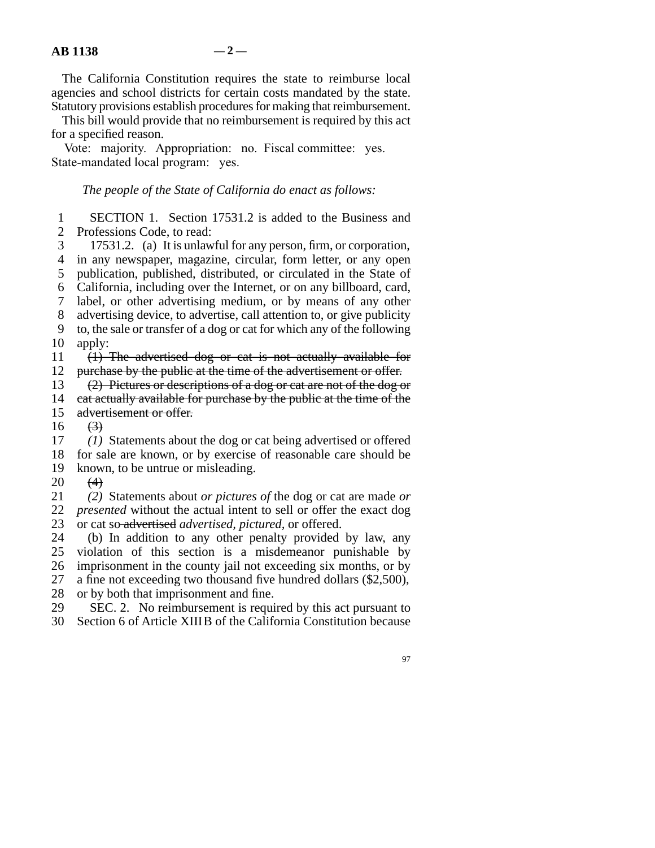The California Constitution requires the state to reimburse local agencies and school districts for certain costs mandated by the state. Statutory provisions establish procedures for making that reimbursement.

This bill would provide that no reimbursement is required by this act for a specified reason.

Vote: majority. Appropriation: no. Fiscal committee: yes. State-mandated local program: yes.

# *The people of the State of California do enact as follows:*

1 SECTION 1. Section 17531.2 is added to the Business and 2 Professions Code. to read: Professions Code, to read:

3 17531.2. (a) It is unlawful for any person, firm, or corporation, 4 in any newspaper, magazine, circular, form letter, or any open 5 publication, published, distributed, or circulated in the State of line 6 California, including over the Internet, or on any billboard, card, 7 label, or other advertising medium, or by means of any other 8 advertising device, to advertise, call attention to, or give publicity 9 to, the sale or transfer of a dog or cat for which any of the following  $10$  apply: 11 (1) The advertised dog or cat is not actually available for 12 purchase by the public at the time of the advertisement or offer.

13  $(2)$  Pictures or descriptions of a dog or cat are not of the dog or

- 14 cat actually available for purchase by the public at the time of the 15 advertisement or offer.
- advertisement or offer.

 $16 \t\t (3)$ 

17 (1) Statements about the dog or cat being advertised or offered 18 for sale are known, or by exercise of reasonable care should be 19 known, to be untrue or misleading.

20  $(4)$ 

 line 21 *(2)* Statements about *or pictures of* the dog or cat are made *or* 22 *presented* without the actual intent to sell or offer the exact dog 23 or cat so-advertised *advertised, pictured*, or offered.

24 (b) In addition to any other penalty provided by law, any 25 violation of this section is a misdemeanor punishable by 26 imprisonment in the county jail not exceeding six months, or by 27 a fine not exceeding two thousand five hundred dollars  $(\$2,500)$ ,

28 or by both that imprisonment and fine.<br>29 SEC. 2. No reimbursement is required. SEC. 2. No reimbursement is required by this act pursuant to 30 Section 6 of Article XIIIB of the California Constitution because

97